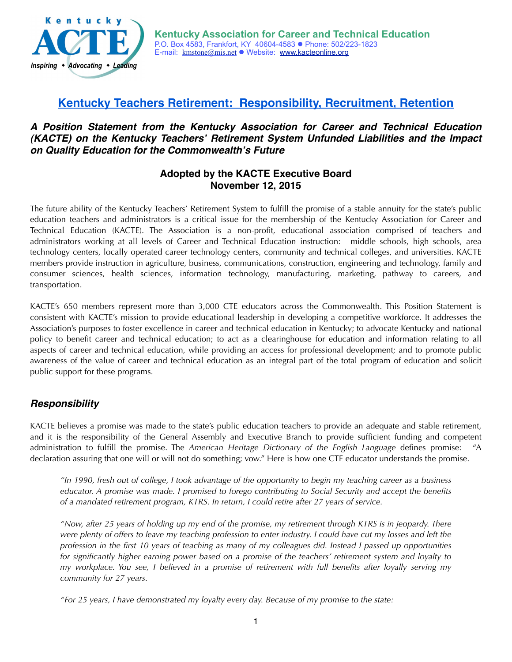

# **Kentucky Teachers Retirement: Responsibility, Recruitment, Retention**

### *A Position Statement from the Kentucky Association for Career and Technical Education (KACTE) on the Kentucky Teachers***'** *Retirement System Unfunded Liabilities and the Impact on Quality Education for the Commonwealth***'***s Future*

#### **Adopted by the KACTE Executive Board November 12, 2015**

The future ability of the Kentucky Teachers' Retirement System to fulfill the promise of a stable annuity for the state's public education teachers and administrators is a critical issue for the membership of the Kentucky Association for Career and Technical Education (KACTE). The Association is a non-profit, educational association comprised of teachers and administrators working at all levels of Career and Technical Education instruction: middle schools, high schools, area technology centers, locally operated career technology centers, community and technical colleges, and universities. KACTE members provide instruction in agriculture, business, communications, construction, engineering and technology, family and consumer sciences, health sciences, information technology, manufacturing, marketing, pathway to careers, and transportation.

KACTE's 650 members represent more than 3,000 CTE educators across the Commonwealth. This Position Statement is consistent with KACTE's mission to provide educational leadership in developing a competitive workforce. It addresses the Association's purposes to foster excellence in career and technical education in Kentucky; to advocate Kentucky and national policy to benefit career and technical education; to act as a clearinghouse for education and information relating to all aspects of career and technical education, while providing an access for professional development; and to promote public awareness of the value of career and technical education as an integral part of the total program of education and solicit public support for these programs.

## *Responsibility*

KACTE believes a promise was made to the state's public education teachers to provide an adequate and stable retirement, and it is the responsibility of the General Assembly and Executive Branch to provide sufficient funding and competent administration to fulfill the promise. The *American Heritage Dictionary of the English Language* defines promise: declaration assuring that one will or will not do something; vow." Here is how one CTE educator understands the promise.

*"In 1990, fresh out of college, I took advantage of the opportunity to begin my teaching career as a business educator. A promise was made. I promised to forego contributing to Social Security and accept the benefits of a mandated retirement program, KTRS. In return, I could retire after 27 years of service.* 

*"Now, after 25 years of holding up my end of the promise, my retirement through KTRS is in jeopardy. There were plenty of offers to leave my teaching profession to enter industry. I could have cut my losses and left the profession in the first 10 years of teaching as many of my colleagues did. Instead I passed up opportunities for significantly higher earning power based on a promise of the teachers' retirement system and loyalty to my workplace. You see, I believed in a promise of retirement with full benefits after loyally serving my community for 27 years.* 

*"For 25 years, I have demonstrated my loyalty every day. Because of my promise to the state:*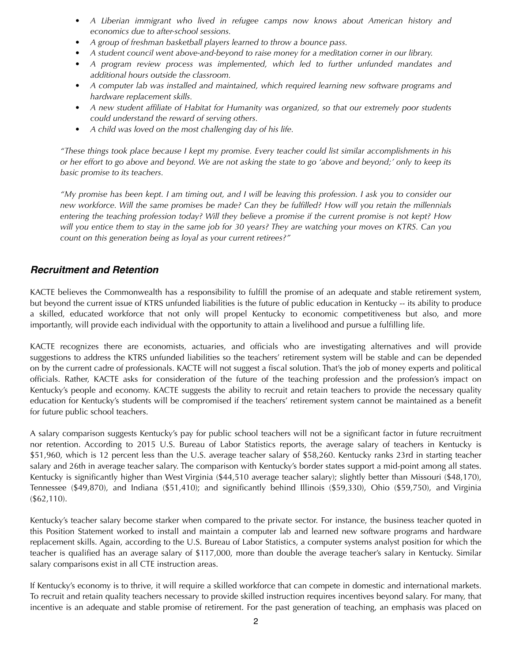- *• A Liberian immigrant who lived in refugee camps now knows about American history and economics due to after-school sessions.*
- *• A group of freshman basketball players learned to throw a bounce pass.*
- *• A student council went above-and-beyond to raise money for a meditation corner in our library.*
- A program review process was implemented, which led to further unfunded mandates and *additional hours outside the classroom.*
- *• A computer lab was installed and maintained, which required learning new software programs and hardware replacement skills.*
- *• A new student affiliate of Habitat for Humanity was organized, so that our extremely poor students could understand the reward of serving others.*
- *• A child was loved on the most challenging day of his life.*

*"These things took place because I kept my promise. Every teacher could list similar accomplishments in his or her effort to go above and beyond. We are not asking the state to go 'above and beyond;' only to keep its basic promise to its teachers.*

*"My promise has been kept. I am timing out, and I will be leaving this profession. I ask you to consider our new workforce. Will the same promises be made? Can they be fulfilled? How will you retain the millennials entering the teaching profession today? Will they believe a promise if the current promise is not kept? How will you entice them to stay in the same job for 30 years? They are watching your moves on KTRS. Can you count on this generation being as loyal as your current retirees?"* 

#### *Recruitment and Retention*

KACTE believes the Commonwealth has a responsibility to fulfill the promise of an adequate and stable retirement system, but beyond the current issue of KTRS unfunded liabilities is the future of public education in Kentucky -- its ability to produce a skilled, educated workforce that not only will propel Kentucky to economic competitiveness but also, and more importantly, will provide each individual with the opportunity to attain a livelihood and pursue a fulfilling life.

KACTE recognizes there are economists, actuaries, and officials who are investigating alternatives and will provide suggestions to address the KTRS unfunded liabilities so the teachers' retirement system will be stable and can be depended on by the current cadre of professionals. KACTE will not suggest a fiscal solution. That's the job of money experts and political officials. Rather, KACTE asks for consideration of the future of the teaching profession and the profession's impact on Kentucky's people and economy. KACTE suggests the ability to recruit and retain teachers to provide the necessary quality education for Kentucky's students will be compromised if the teachers' retirement system cannot be maintained as a benefit for future public school teachers.

A salary comparison suggests Kentucky's pay for public school teachers will not be a significant factor in future recruitment nor retention. According to 2015 U.S. Bureau of Labor Statistics reports, the average salary of teachers in Kentucky is \$51,960, which is 12 percent less than the U.S. average teacher salary of \$58,260. Kentucky ranks 23rd in starting teacher salary and 26th in average teacher salary. The comparison with Kentucky's border states support a mid-point among all states. Kentucky is significantly higher than West Virginia (\$44,510 average teacher salary); slightly better than Missouri (\$48,170), Tennessee (\$49,870), and Indiana (\$51,410); and significantly behind Illinois (\$59,330), Ohio (\$59,750), and Virginia (\$62,110).

Kentucky's teacher salary become starker when compared to the private sector. For instance, the business teacher quoted in this Position Statement worked to install and maintain a computer lab and learned new software programs and hardware replacement skills. Again, according to the U.S. Bureau of Labor Statistics, a computer systems analyst position for which the teacher is qualified has an average salary of \$117,000, more than double the average teacher's salary in Kentucky. Similar salary comparisons exist in all CTE instruction areas.

If Kentucky's economy is to thrive, it will require a skilled workforce that can compete in domestic and international markets. To recruit and retain quality teachers necessary to provide skilled instruction requires incentives beyond salary. For many, that incentive is an adequate and stable promise of retirement. For the past generation of teaching, an emphasis was placed on